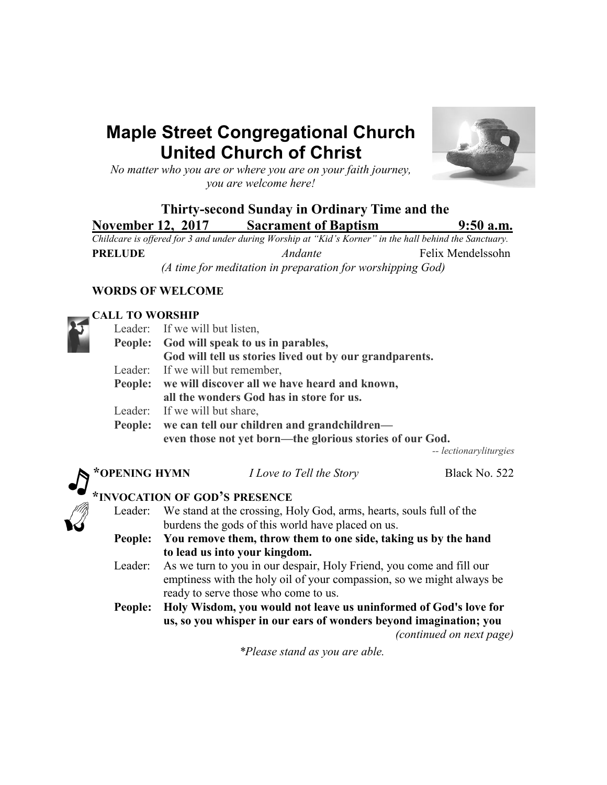# **Maple Street Congregational Church United Church of Christ**



*No matter who you are or where you are on your faith journey, you are welcome here!*

## **Thirty-second Sunday in Ordinary Time and the November 12, 2017 Sacrament of Baptism 9:50 a.m.**

*Childcare is offered for 3 and under during Worship at "Kid's Korner" in the hall behind the Sanctuary.* **PRELUDE** *Andante* Felix Mendelssohn *(A time for meditation in preparation for worshipping God)*

## **WORDS OF WELCOME**

## **CALL TO WORSHIP**

| еден то и опеци |                                                                             |                                                          |                        |  |  |  |
|-----------------|-----------------------------------------------------------------------------|----------------------------------------------------------|------------------------|--|--|--|
|                 | Leader: If we will but listen,                                              |                                                          |                        |  |  |  |
| People:         | God will speak to us in parables,                                           |                                                          |                        |  |  |  |
|                 |                                                                             | God will tell us stories lived out by our grandparents.  |                        |  |  |  |
|                 | Leader: If we will but remember,                                            |                                                          |                        |  |  |  |
|                 | People: we will discover all we have heard and known,                       |                                                          |                        |  |  |  |
|                 | all the wonders God has in store for us.                                    |                                                          |                        |  |  |  |
|                 | Leader: If we will but share,                                               |                                                          |                        |  |  |  |
|                 | People: we can tell our children and grandchildren—                         |                                                          |                        |  |  |  |
|                 |                                                                             | even those not yet born—the glorious stories of our God. |                        |  |  |  |
|                 |                                                                             |                                                          | -- lectionaryliturgies |  |  |  |
| *OPENING HYMN   |                                                                             | I Love to Tell the Story                                 | Black No. 522          |  |  |  |
|                 |                                                                             | *INVOCATION OF GOD'S PRESENCE                            |                        |  |  |  |
|                 | Leader: We stand at the crossing, Holy God, arms, hearts, souls full of the |                                                          |                        |  |  |  |
|                 | burdens the gods of this world have placed on us.                           |                                                          |                        |  |  |  |
|                 | Peonle: Vou remove them throw them to one side taking us by the hand        |                                                          |                        |  |  |  |

**People: You remove them, throw them to one side, taking us by the hand to lead us into your kingdom.**

- Leader: As we turn to you in our despair, Holy Friend, you come and fill our emptiness with the holy oil of your compassion, so we might always be ready to serve those who come to us.
- **People: Holy Wisdom, you would not leave us uninformed of God's love for us, so you whisper in our ears of wonders beyond imagination; you** *(continued on next page)*

*\*Please stand as you are able.*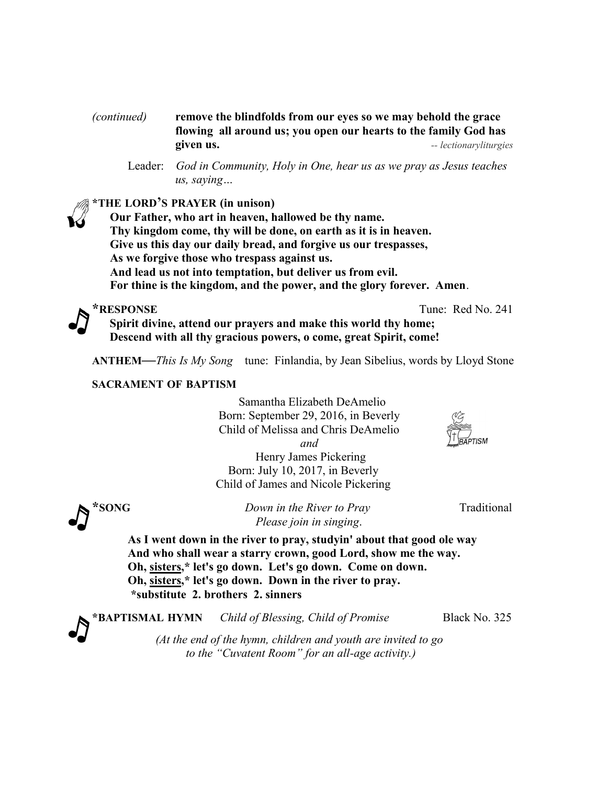#### *(continued)* **remove the blindfolds from our eyes so we may behold the grace flowing all around us; you open our hearts to the family God has given us.** *-- lectionaryliturgies*

#### **\*THE LORD'S PRAYER (in unison)**

**Our Father, who art in heaven, hallowed be thy name. Thy kingdom come, thy will be done, on earth as it is in heaven. Give us this day our daily bread, and forgive us our trespasses, As we forgive those who trespass against us. And lead us not into temptation, but deliver us from evil. For thine is the kingdom, and the power, and the glory forever. Amen**.



**\*RESPONSE** Tune: Red No. 241

**Spirit divine, attend our prayers and make this world thy home; Descend with all thy gracious powers, o come, great Spirit, come!**

**ANTHEM—***This Is My Song* tune: Finlandia, by Jean Sibelius, words by Lloyd Stone

#### **SACRAMENT OF BAPTISM**

 Samantha Elizabeth DeAmelio Born: September 29, 2016, in Beverly Child of Melissa and Chris DeAmelio  *and*

 Henry James Pickering Born: July 10, 2017, in Beverly Child of James and Nicole Pickering

**EXAMPLE 2008 EXAMPLE 2008 EXAMPLE 2009 EXAMPLE 2009 Traditional** *Please join in singing*.

**As I went down in the river to pray, studyin' about that good ole way And who shall wear a starry crown, good Lord, show me the way. Oh, sisters,\* let's go down. Let's go down. Come on down. Oh, sisters,\* let's go down. Down in the river to pray. \*substitute 2. brothers 2. sinners**

**\*BAPTISMAL HYMN** *Child of Blessing, Child of Promise* Black No. 325 *(At the end of the hymn, children and youth are invited to go*

*to the "Cuvatent Room" for an all-age activity.)*

Leader: *God in Community, Holy in One, hear us as we pray as Jesus teaches us, saying…*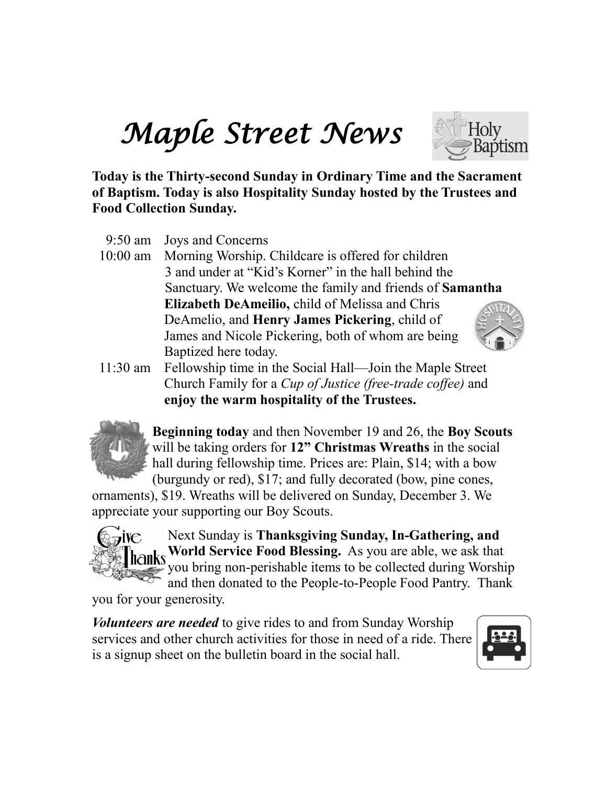# *Maple Street News*



**Today is the Thirty-second Sunday in Ordinary Time and the Sacrament of Baptism. Today is also Hospitality Sunday hosted by the Trustees and Food Collection Sunday.** 

- 9:50 am Joys and Concerns
- 10:00 am Morning Worship. Childcare is offered for children 3 and under at "Kid's Korner" in the hall behind the Sanctuary. We welcome the family and friends of **Samantha Elizabeth DeAmeilio,** child of Melissa and Chris DeAmelio, and **Henry James Pickering**, child of James and Nicole Pickering, both of whom are being Baptized here today.
- 11:30 am Fellowship time in the Social Hall—Join the Maple Street Church Family for a *Cup of Justice (free-trade coffee)* and **enjoy the warm hospitality of the Trustees.**



**Beginning today** and then November 19 and 26, the **Boy Scouts**  will be taking orders for 12" Christmas Wreaths in the social hall during fellowship time. Prices are: Plain, \$14; with a bow (burgundy or red), \$17; and fully decorated (bow, pine cones,

ornaments), \$19. Wreaths will be delivered on Sunday, December 3. We appreciate your supporting our Boy Scouts.



Next Sunday is **Thanksgiving Sunday, In-Gathering, and hanks** World Service Food Blessing. As you are able, we ask that you bring non-perishable items to be collected during Worship and then donated to the People-to-People Food Pantry. Thank

you for your generosity.

*Volunteers are needed* to give rides to and from Sunday Worship services and other church activities for those in need of a ride. There is a signup sheet on the bulletin board in the social hall.

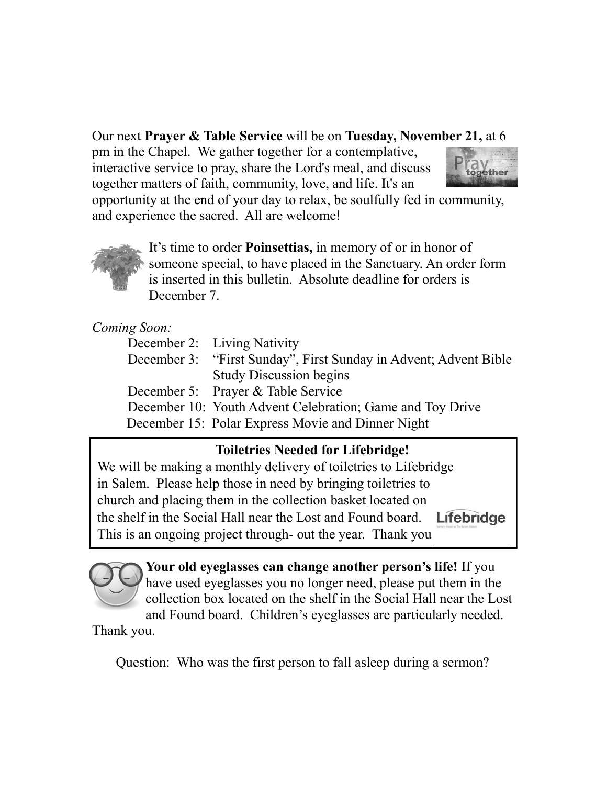## Our next **Prayer & Table Service** will be on **Tuesday, November 21,** at 6

together matters of faith, community, love, and life. It's an pm in the Chapel. We gather together for a contemplative, interactive service to pray, share the Lord's meal, and discuss



and experience the sacred. All are welcome! opportunity at the end of your day to relax, be soulfully fed in community,



It's time to order **Poinsettias,** in memory of or in honor of someone special, to have placed in the Sanctuary. An order form is inserted in this bulletin. Absolute deadline for orders is December 7.

## *Coming Soon:*

| December 3: "First Sunday", First Sunday in Advent; Advent Bible |
|------------------------------------------------------------------|
|                                                                  |
|                                                                  |
|                                                                  |
|                                                                  |
|                                                                  |

## **Toiletries Needed for Lifebridge!**

We will be making a monthly delivery of toiletries to Lifebridge in Salem. Please help those in need by bringing toiletries to church and placing them in the collection basket located on the shelf in the Social Hall near the Lost and Found board. Lifebridge This is an ongoing project through- out the year. Thank you



**Your old eyeglasses can change another person's life!** If you have used eyeglasses you no longer need, please put them in the collection box located on the shelf in the Social Hall near the Lost and Found board. Children's eyeglasses are particularly needed.

Thank you.

Question: Who was the first person to fall asleep during a sermon?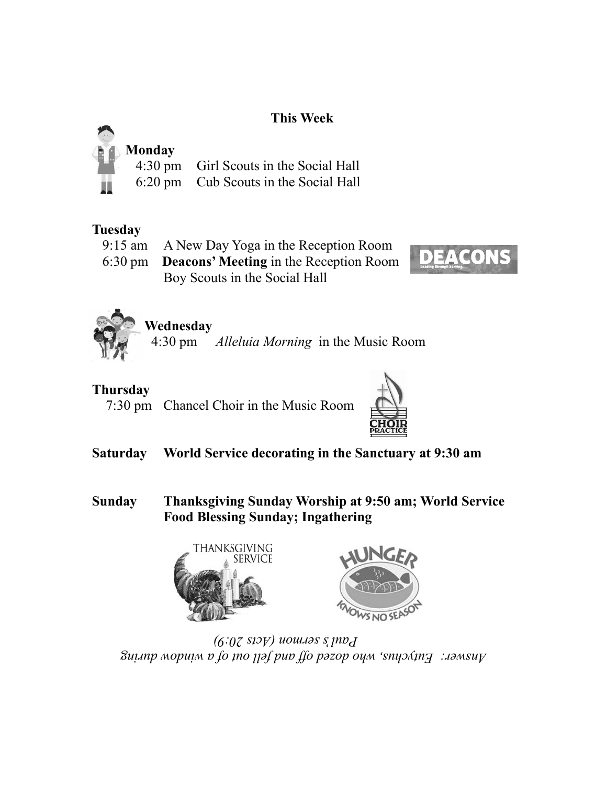## **This Week**



4:30 pm Girl Scouts in the Social Hall

6:20 pm Cub Scouts in the Social Hall

## **Tuesday**

9:15 am A New Day Yoga in the Reception Room

 6:30 pm **Deacons' Meeting** in the Reception Room Boy Scouts in the Social Hall





# **Wednesday**

4:30 pm *Alleluia Morning* in the Music Room

# **Thursday**

7:30 pm Chancel Choir in the Music Room



- **Saturday World Service decorating in the Sanctuary at 9:30 am**
- **Sunday Thanksgiving Sunday Worship at 9:50 am; World Service Food Blessing Sunday; Ingathering**





*Answer: Eutychus, who dozed off and fell out of a window during Paul's sermon (Acts 20:9)*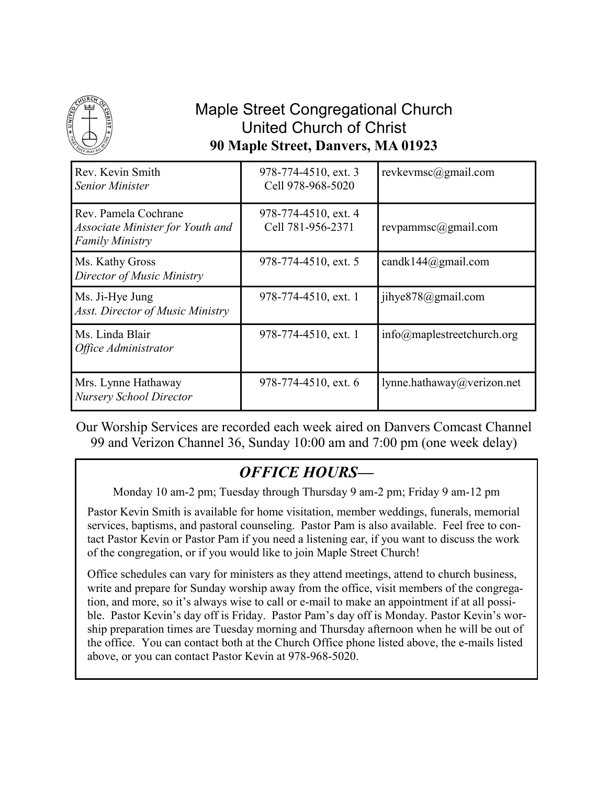

# Maple Street Congregational Church United Church of Christ **90 Maple Street, Danvers, MA 01923**

| Rev. Kevin Smith<br><b>Senior Minister</b>                                         | 978-774-4510, ext. 3<br>Cell 978-968-5020 | revkevmsc@gmail.com                        |
|------------------------------------------------------------------------------------|-------------------------------------------|--------------------------------------------|
| Rev. Pamela Cochrane<br>Associate Minister for Youth and<br><b>Family Ministry</b> | 978-774-4510, ext. 4<br>Cell 781-956-2371 | revpammsc@gmail.com                        |
| Ms. Kathy Gross<br>Director of Music Ministry                                      | 978-774-4510, ext. 5                      | candk144@gmail.com                         |
| Ms. Ji-Hye Jung<br>Asst. Director of Music Ministry                                | 978-774-4510, ext. 1                      | jihye878@gmail.com                         |
| Ms. Linda Blair<br>Office Administrator                                            | 978-774-4510, ext. 1                      | $info(\hat{\omega})$ maplestreetchurch.org |
| Mrs. Lynne Hathaway<br><b>Nursery School Director</b>                              | 978-774-4510, ext. 6                      | lynne.hathaway@verizon.net                 |

Our Worship Services are recorded each week aired on Danvers Comcast Channel 99 and Verizon Channel 36, Sunday 10:00 am and 7:00 pm (one week delay)

# *OFFICE HOURS—*

Monday 10 am-2 pm; Tuesday through Thursday 9 am-2 pm; Friday 9 am-12 pm

Pastor Kevin Smith is available for home visitation, member weddings, funerals, memorial services, baptisms, and pastoral counseling. Pastor Pam is also available. Feel free to contact Pastor Kevin or Pastor Pam if you need a listening ear, if you want to discuss the work of the congregation, or if you would like to join Maple Street Church!

Office schedules can vary for ministers as they attend meetings, attend to church business, write and prepare for Sunday worship away from the office, visit members of the congregation, and more, so it's always wise to call or e-mail to make an appointment if at all possible. Pastor Kevin's day off is Friday. Pastor Pam's day off is Monday. Pastor Kevin's worship preparation times are Tuesday morning and Thursday afternoon when he will be out of the office. You can contact both at the Church Office phone listed above, the e-mails listed above, or you can contact Pastor Kevin at 978-968-5020.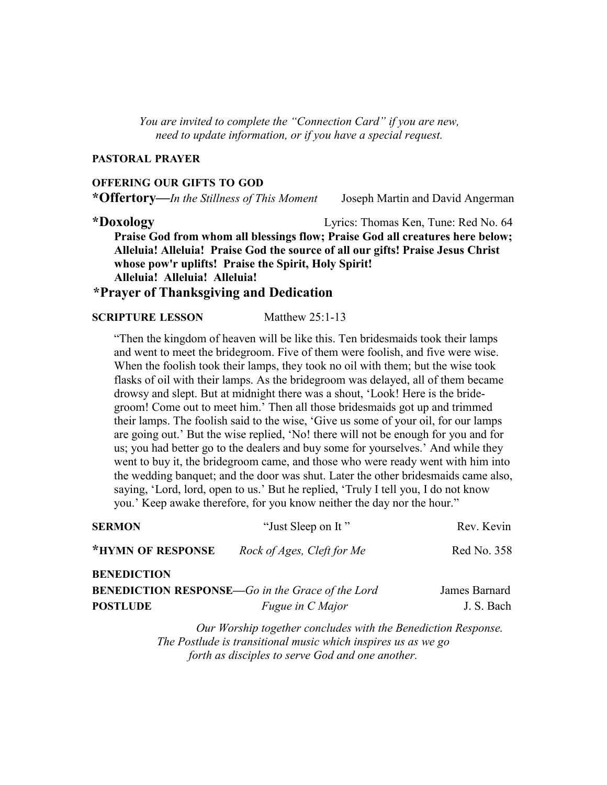*You are invited to complete the "Connection Card" if you are new, need to update information, or if you have a special request.*

#### **PASTORAL PRAYER**

#### **OFFERING OUR GIFTS TO GOD**

**\*Offertory—***In the Stillness of This Moment* Joseph Martin and David Angerman

**\*Doxology** Lyrics: Thomas Ken, Tune: Red No. 64 **Praise God from whom all blessings flow; Praise God all creatures here below; Alleluia! Alleluia! Praise God the source of all our gifts! Praise Jesus Christ whose pow'r uplifts! Praise the Spirit, Holy Spirit! Alleluia! Alleluia! Alleluia!**

## **\*Prayer of Thanksgiving and Dedication**

#### **SCRIPTURE LESSON Matthew 25:1-13**

"Then the kingdom of heaven will be like this. Ten bridesmaids took their lamps and went to meet the bridegroom. Five of them were foolish, and five were wise. When the foolish took their lamps, they took no oil with them; but the wise took flasks of oil with their lamps. As the bridegroom was delayed, all of them became drowsy and slept. But at midnight there was a shout, 'Look! Here is the bridegroom! Come out to meet him.' Then all those bridesmaids got up and trimmed their lamps. The foolish said to the wise, 'Give us some of your oil, for our lamps are going out.' But the wise replied, 'No! there will not be enough for you and for us; you had better go to the dealers and buy some for yourselves.' And while they went to buy it, the bridegroom came, and those who were ready went with him into the wedding banquet; and the door was shut. Later the other bridesmaids came also, saying, 'Lord, lord, open to us.' But he replied, 'Truly I tell you, I do not know you.' Keep awake therefore, for you know neither the day nor the hour."

| <b>SERMON</b>                                            | "Just Sleep on It"                                            | Rev. Kevin    |
|----------------------------------------------------------|---------------------------------------------------------------|---------------|
| *HYMN OF RESPONSE                                        | Rock of Ages, Cleft for Me                                    | Red No. 358   |
| <b>BENEDICTION</b>                                       |                                                               |               |
| <b>BENEDICTION RESPONSE</b> —Go in the Grace of the Lord |                                                               | James Barnard |
| <b>POSTLUDE</b>                                          | <i>Fugue in C Major</i>                                       | J. S. Bach    |
|                                                          | Our Worship together concludes with the Benediction Response. |               |

 *Our Worship together concludes with the Benediction Response. The Postlude is transitional music which inspires us as we go forth as disciples to serve God and one another.*